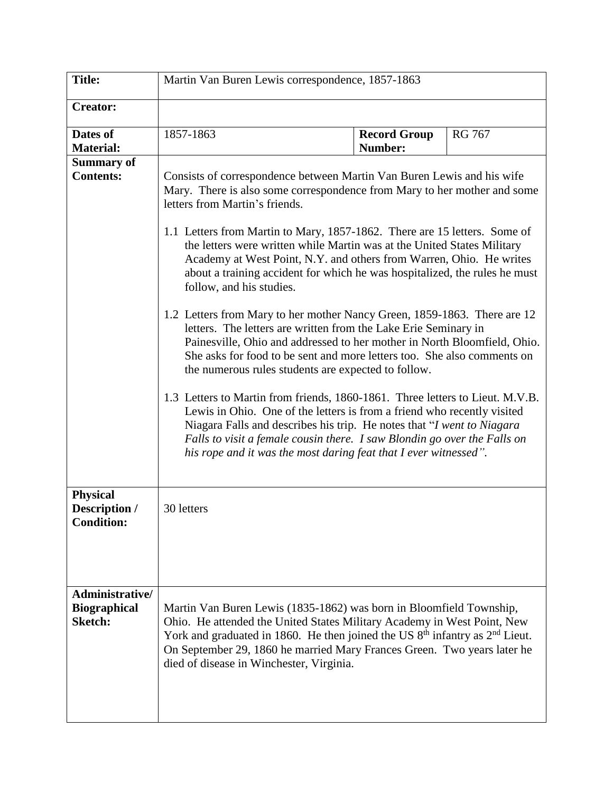| <b>Title:</b>                                            | Martin Van Buren Lewis correspondence, 1857-1863                                                                                                                                                                                                                                                                                                                                                                                                                                                                              |                                |               |  |
|----------------------------------------------------------|-------------------------------------------------------------------------------------------------------------------------------------------------------------------------------------------------------------------------------------------------------------------------------------------------------------------------------------------------------------------------------------------------------------------------------------------------------------------------------------------------------------------------------|--------------------------------|---------------|--|
| <b>Creator:</b>                                          |                                                                                                                                                                                                                                                                                                                                                                                                                                                                                                                               |                                |               |  |
| Dates of<br><b>Material:</b>                             | 1857-1863                                                                                                                                                                                                                                                                                                                                                                                                                                                                                                                     | <b>Record Group</b><br>Number: | <b>RG 767</b> |  |
| <b>Summary of</b><br><b>Contents:</b>                    | Consists of correspondence between Martin Van Buren Lewis and his wife<br>Mary. There is also some correspondence from Mary to her mother and some<br>letters from Martin's friends.<br>1.1 Letters from Martin to Mary, 1857-1862. There are 15 letters. Some of<br>the letters were written while Martin was at the United States Military<br>Academy at West Point, N.Y. and others from Warren, Ohio. He writes<br>about a training accident for which he was hospitalized, the rules he must<br>follow, and his studies. |                                |               |  |
|                                                          | 1.2 Letters from Mary to her mother Nancy Green, 1859-1863. There are 12<br>letters. The letters are written from the Lake Erie Seminary in<br>Painesville, Ohio and addressed to her mother in North Bloomfield, Ohio.<br>She asks for food to be sent and more letters too. She also comments on<br>the numerous rules students are expected to follow.                                                                                                                                                                     |                                |               |  |
|                                                          | 1.3 Letters to Martin from friends, 1860-1861. Three letters to Lieut. M.V.B.<br>Lewis in Ohio. One of the letters is from a friend who recently visited<br>Niagara Falls and describes his trip. He notes that "I went to Niagara"<br>Falls to visit a female cousin there. I saw Blondin go over the Falls on<br>his rope and it was the most daring feat that I ever witnessed".                                                                                                                                           |                                |               |  |
| <b>Physical</b><br>Description /<br><b>Condition:</b>    | 30 letters                                                                                                                                                                                                                                                                                                                                                                                                                                                                                                                    |                                |               |  |
| Administrative/<br><b>Biographical</b><br><b>Sketch:</b> | Martin Van Buren Lewis (1835-1862) was born in Bloomfield Township,<br>Ohio. He attended the United States Military Academy in West Point, New<br>York and graduated in 1860. He then joined the US $8th$ infantry as $2nd$ Lieut.<br>On September 29, 1860 he married Mary Frances Green. Two years later he<br>died of disease in Winchester, Virginia.                                                                                                                                                                     |                                |               |  |